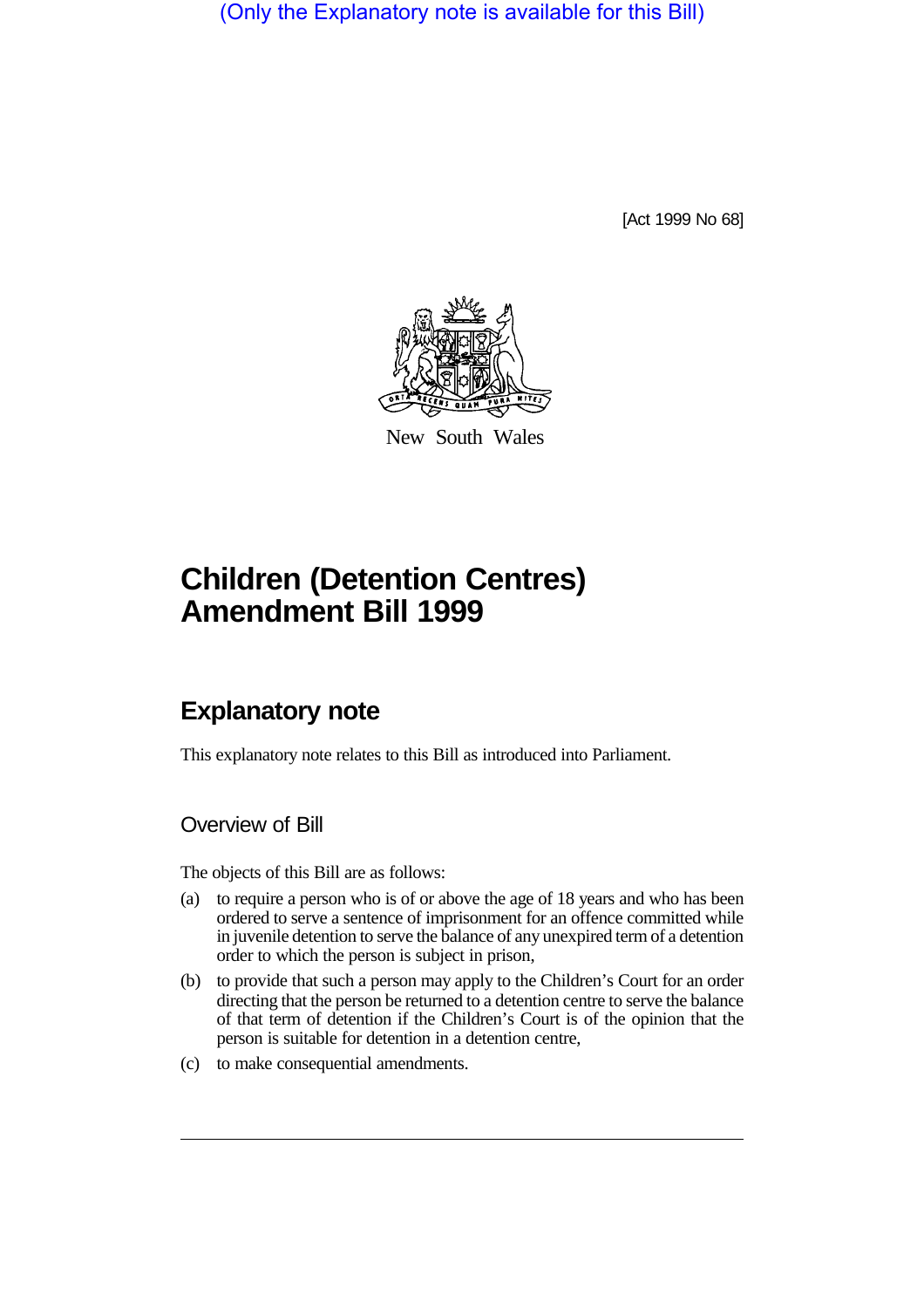(Only the Explanatory note is available for this Bill)

[Act 1999 No 68]



New South Wales

## **Children (Detention Centres) Amendment Bill 1999**

## **Explanatory note**

This explanatory note relates to this Bill as introduced into Parliament.

Overview of Bill

The objects of this Bill are as follows:

- (a) to require a person who is of or above the age of 18 years and who has been ordered to serve a sentence of imprisonment for an offence committed while in juvenile detention to serve the balance of any unexpired term of a detention order to which the person is subject in prison,
- (b) to provide that such a person may apply to the Children's Court for an order directing that the person be returned to a detention centre to serve the balance of that term of detention if the Children's Court is of the opinion that the person is suitable for detention in a detention centre,
- (c) to make consequential amendments.